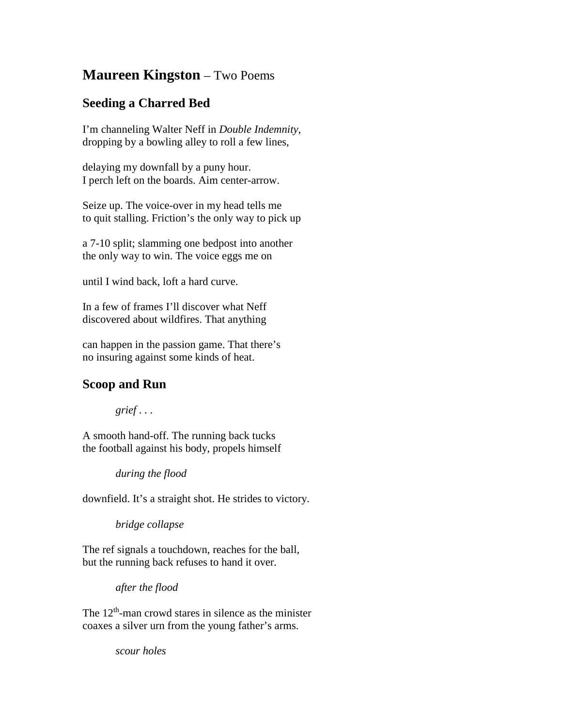## **Maureen Kingston** – Two Poems

## **Seeding a Charred Bed**

I'm channeling Walter Neff in *Double Indemnity*, dropping by a bowling alley to roll a few lines,

delaying my downfall by a puny hour. I perch left on the boards. Aim center-arrow.

Seize up. The voice-over in my head tells me to quit stalling. Friction's the only way to pick up

a 7-10 split; slamming one bedpost into another the only way to win. The voice eggs me on

until I wind back, loft a hard curve.

In a few of frames I'll discover what Neff discovered about wildfires. That anything

can happen in the passion game. That there's no insuring against some kinds of heat.

## **Scoop and Run**

*grief . . .*

A smooth hand-off. The running back tucks the football against his body, propels himself

*during the flood*

downfield. It's a straight shot. He strides to victory.

*bridge collapse*

The ref signals a touchdown, reaches for the ball, but the running back refuses to hand it over.

*after the flood*

The  $12<sup>th</sup>$ -man crowd stares in silence as the minister coaxes a silver urn from the young father's arms.

*scour holes*